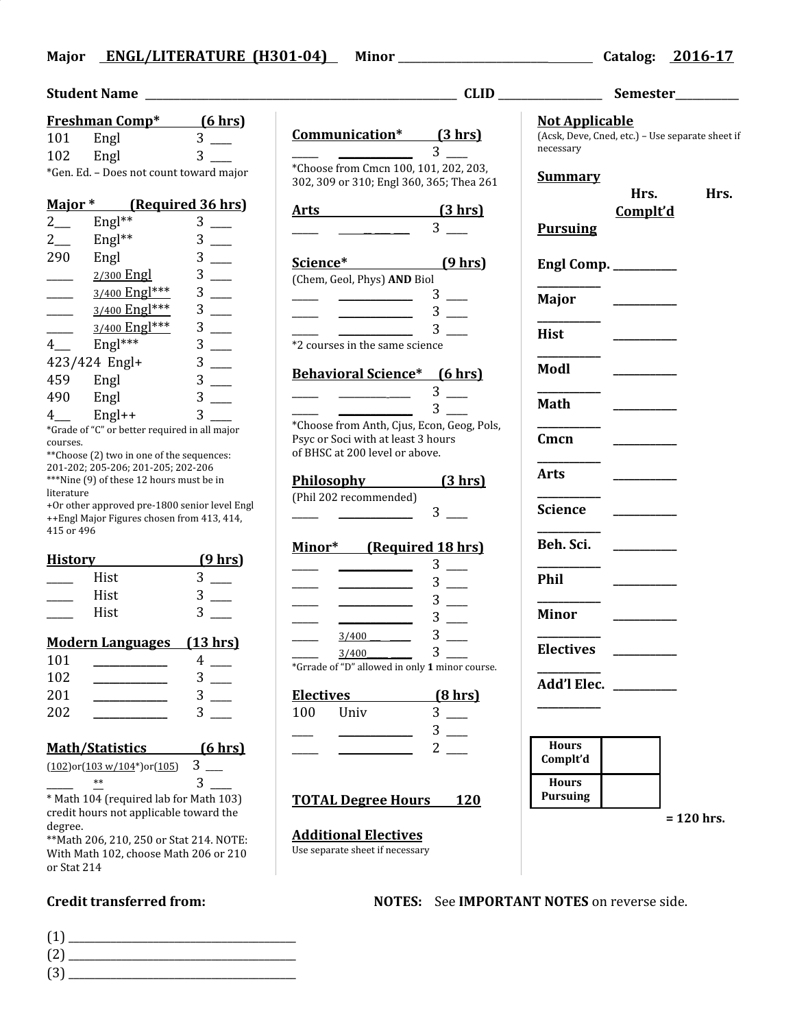## **Major ENGL/LITERATURE (H301-04) Minor** \_\_\_\_\_\_\_\_\_\_\_\_\_\_\_\_\_\_\_\_\_\_\_\_\_\_ **Catalog: 2016-17**

|        | <b>Freshman Comp*</b> | <u>(6 hrs)</u>                          |
|--------|-----------------------|-----------------------------------------|
| 101    | Engl                  | 3                                       |
| 102    | Engl                  | З                                       |
|        |                       | *Gen. Ed. – Does not count toward major |
| Major* |                       | (Required 36 hrs)                       |

| $2_{-}$        | Engl $**$      | 3 |
|----------------|----------------|---|
| 2              | Engl**         | 3 |
| 290            | Engl           | 3 |
|                | 2/300 Engl     | 3 |
|                | 3/400 Engl***  | 3 |
|                | 3/400 Engl***  | 3 |
|                | 3/400 Engl *** | 3 |
| $\overline{4}$ | Engl***        | 3 |
| 423/424 Engl+  |                | 3 |
| 459            | Engl           | 3 |
| 490            | Engl           | 3 |
| $4-$           | Engl++         | 3 |

\*Grade of "C" or better required in all major courses.

\*\*Choose (2) two in one of the sequences: 201-202; 205-206; 201-205; 202-206 \*\*\*Nine (9) of these 12 hours must be in literature

+Or other approved pre-1800 senior level Engl ++Engl Major Figures chosen from 413, 414, 415 or 496

| <b>History</b> |      | <u>(9 hrs)</u> |
|----------------|------|----------------|
|                | Hist |                |
|                | Hist |                |
|                | Hist |                |
|                |      |                |

## **Modern Languages (13 hrs)**

| 101 |  |
|-----|--|
| 102 |  |
| 201 |  |
| 202 |  |

## **Math/Statistics (6 hrs)**

| $(102)$ or $(103 \text{ w}/104^*)$ or $(105)$ |  |
|-----------------------------------------------|--|
| $**$                                          |  |

\* Math 104 (required lab for Math 103) credit hours not applicable toward the degree.

\*\*Math 206, 210, 250 or Stat 214. NOTE: With Math 102, choose Math 206 or 210 or Stat 214

(1) \_\_\_\_\_\_\_\_\_\_\_\_\_\_\_\_\_\_\_\_\_\_\_\_\_\_\_\_\_\_\_\_\_\_\_\_\_\_\_\_\_\_\_ (2) \_\_\_\_\_\_\_\_\_\_\_\_\_\_\_\_\_\_\_\_\_\_\_\_\_\_\_\_\_\_\_\_\_\_\_\_\_\_\_\_\_\_\_ (3) \_\_\_\_\_\_\_\_\_\_\_\_\_\_\_\_\_\_\_\_\_\_\_\_\_\_\_\_\_\_\_\_\_\_\_\_\_\_\_\_\_\_\_

| <b>CLID</b>                                                                                                        |                              | Semester__________                                                                    |          |              |
|--------------------------------------------------------------------------------------------------------------------|------------------------------|---------------------------------------------------------------------------------------|----------|--------------|
| Communication* (3 hrs)                                                                                             | 3                            | <b>Not Applicable</b><br>(Acsk, Deve, Cned, etc.) - Use separate sheet i<br>necessary |          |              |
| *Choose from Cmcn 100, 101, 202, 203,<br>302, 309 or 310; Engl 360, 365; Thea 261                                  |                              | <b>Summary</b>                                                                        | Hrs.     | Hrs.         |
| $Arts$ (3 hrs)                                                                                                     | 3 <sup>1</sup>               | <b>Pursuing</b>                                                                       | Complt'd |              |
| Science* (9 hrs)                                                                                                   |                              | Engl Comp. ________                                                                   |          |              |
| (Chem, Geol, Phys) AND Biol<br>$\overline{\phantom{a}}$                                                            | $3$ —<br>$3$ —               | Major                                                                                 |          |              |
| *2 courses in the same science                                                                                     | 3 <sup>1</sup>               | Hist                                                                                  |          |              |
| <b>Behavioral Science*</b> (6 hrs)                                                                                 |                              | Modl                                                                                  |          |              |
|                                                                                                                    | $3$ —<br>$3^{\circ}$         | <b>Math</b>                                                                           |          |              |
| *Choose from Anth, Cjus, Econ, Geog, Pols,<br>Psyc or Soci with at least 3 hours<br>of BHSC at 200 level or above. |                              | Cmcn                                                                                  |          |              |
| Philosophy (3 hrs)                                                                                                 |                              | Arts                                                                                  |          |              |
| (Phil 202 recommended)                                                                                             | $3 \quad \blacksquare$       | Science                                                                               |          |              |
| Minor* (Required 18 hrs)                                                                                           |                              | Beh. Sci.                                                                             |          |              |
| $\overline{\phantom{a}}$ and $\overline{\phantom{a}}$ and $\overline{\phantom{a}}$                                 | $3 \equiv$<br>$3$ —          | Phil                                                                                  |          |              |
| $\overline{\phantom{a}}$<br>$\overline{\phantom{a}}$ . The contract of $\overline{\phantom{a}}$                    | $3$ —<br>$3$ —               | Minor                                                                                 |          |              |
| $\frac{3/400}{ }$<br>3/400                                                                                         | $3 \equiv$<br>3 <sub>1</sub> | <b>Electives</b>                                                                      |          |              |
| *Grrade of "D" allowed in only 1 minor course<br><b>Electives</b>                                                  | $(8 \text{ hrs})$            | Add'l Elec.                                                                           |          |              |
| 100<br>Univ                                                                                                        | $3$ —<br>$3$ —               |                                                                                       |          |              |
| <u> 1950 - Johann Barnett, fransk konge</u>                                                                        | $2$ $-$                      | <b>Hours</b><br>Complt'd                                                              |          |              |
| <b>TOTAL Degree Hours</b> 120                                                                                      |                              | <b>Hours</b><br><b>Pursuing</b>                                                       |          |              |
| <b>Additional Electives</b><br>Use separate sheet if necessary                                                     |                              |                                                                                       |          | $= 120$ hrs. |

| <b>Not Applicable</b><br>(Acsk, Deve, Cned, etc.) - Use separate sheet if<br>necessary |                         |              |
|----------------------------------------------------------------------------------------|-------------------------|--------------|
| <u>Summary</u><br><b>Pursuing</b>                                                      | Hrs.<br><u>Complt'd</u> | Hrs.         |
| Engl Comp. __________                                                                  |                         |              |
| Major                                                                                  |                         |              |
| <b>Hist</b>                                                                            |                         |              |
| Modl                                                                                   |                         |              |
| <b>Math</b>                                                                            |                         |              |
| Cmcn                                                                                   |                         |              |
| <b>Arts</b>                                                                            |                         |              |
| <b>Science</b>                                                                         |                         |              |
| Beh. Sci.                                                                              |                         |              |
| <b>Phil</b>                                                                            |                         |              |
| <b>Minor</b>                                                                           |                         |              |
| <b>Electives</b>                                                                       |                         |              |
| Add'l Elec.                                                                            |                         |              |
| <b>Hours</b><br>Complt'd                                                               |                         |              |
| <b>Hours</b><br><b>Pursuing</b>                                                        |                         |              |
|                                                                                        |                         | $= 120$ hrs. |

**Credit transferred from: NOTES:** See **IMPORTANT NOTES** on reverse side.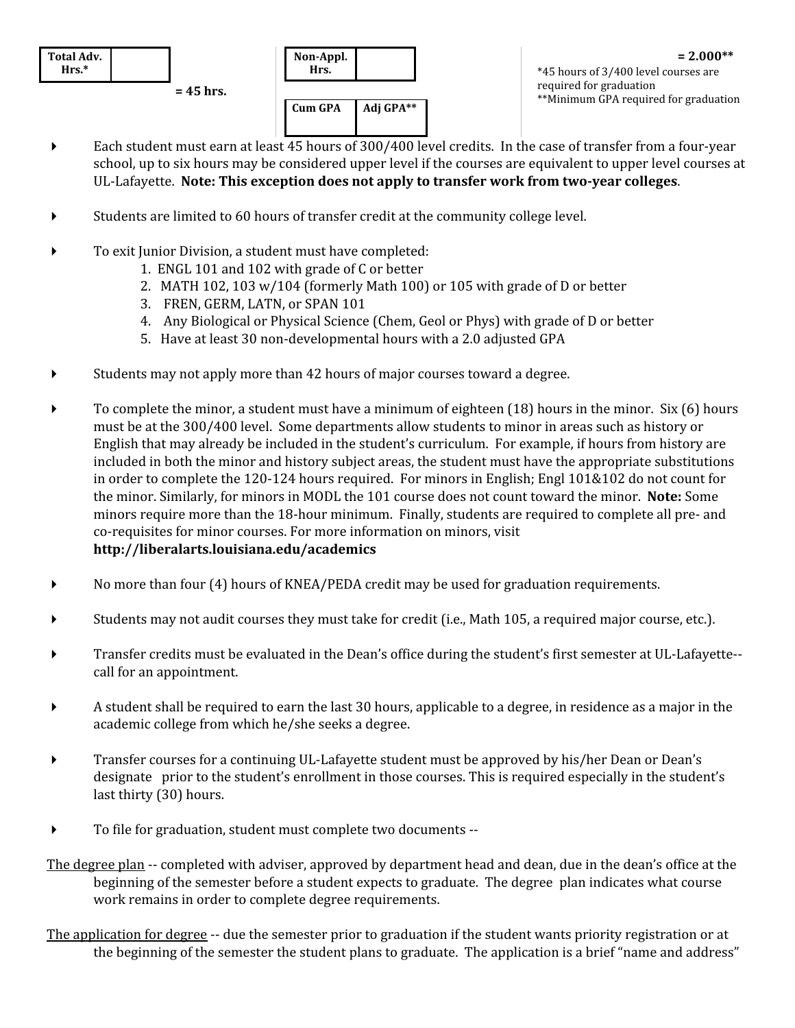

**Non-Appl. Hrs. Cum GPA Adj GPA\*\***

**= 2.000\*\*** \*45 hours of 3/400 level courses are required for graduation \*\*Minimum GPA required for graduation

- Each student must earn at least 45 hours of 300/400 level credits. In the case of transfer from a four-year school, up to six hours may be considered upper level if the courses are equivalent to upper level courses at UL-Lafayette. **Note: This exception does not apply to transfer work from two-year colleges**.
- Students are limited to 60 hours of transfer credit at the community college level.
- To exit Junior Division, a student must have completed:
	- 1. ENGL 101 and 102 with grade of C or better
	- 2. MATH 102, 103 w/104 (formerly Math 100) or 105 with grade of D or better
	- 3. FREN, GERM, LATN, or SPAN 101
	- 4. Any Biological or Physical Science (Chem, Geol or Phys) with grade of D or better
	- 5. Have at least 30 non-developmental hours with a 2.0 adjusted GPA
- Students may not apply more than 42 hours of major courses toward a degree.
- $\triangleright$  To complete the minor, a student must have a minimum of eighteen (18) hours in the minor. Six (6) hours must be at the 300/400 level. Some departments allow students to minor in areas such as history or English that may already be included in the student's curriculum. For example, if hours from history are included in both the minor and history subject areas, the student must have the appropriate substitutions in order to complete the 120-124 hours required. For minors in English; Engl 101&102 do not count for the minor. Similarly, for minors in MODL the 101 course does not count toward the minor. **Note:** Some minors require more than the 18-hour minimum. Finally, students are required to complete all pre- and co-requisites for minor courses. For more information on minors, visit **http://liberalarts.louisiana.edu/academics**
- No more than four (4) hours of KNEA/PEDA credit may be used for graduation requirements.
- Students may not audit courses they must take for credit (i.e., Math 105, a required major course, etc.).
- Transfer credits must be evaluated in the Dean's office during the student's first semester at UL-Lafayette- call for an appointment.
- A student shall be required to earn the last 30 hours, applicable to a degree, in residence as a major in the academic college from which he/she seeks a degree.
- Transfer courses for a continuing UL-Lafayette student must be approved by his/her Dean or Dean's designate prior to the student's enrollment in those courses. This is required especially in the student's last thirty (30) hours.
- To file for graduation, student must complete two documents --
- The degree plan -- completed with adviser, approved by department head and dean, due in the dean's office at the beginning of the semester before a student expects to graduate. The degree plan indicates what course work remains in order to complete degree requirements.
- The application for degree -- due the semester prior to graduation if the student wants priority registration or at the beginning of the semester the student plans to graduate. The application is a brief "name and address"